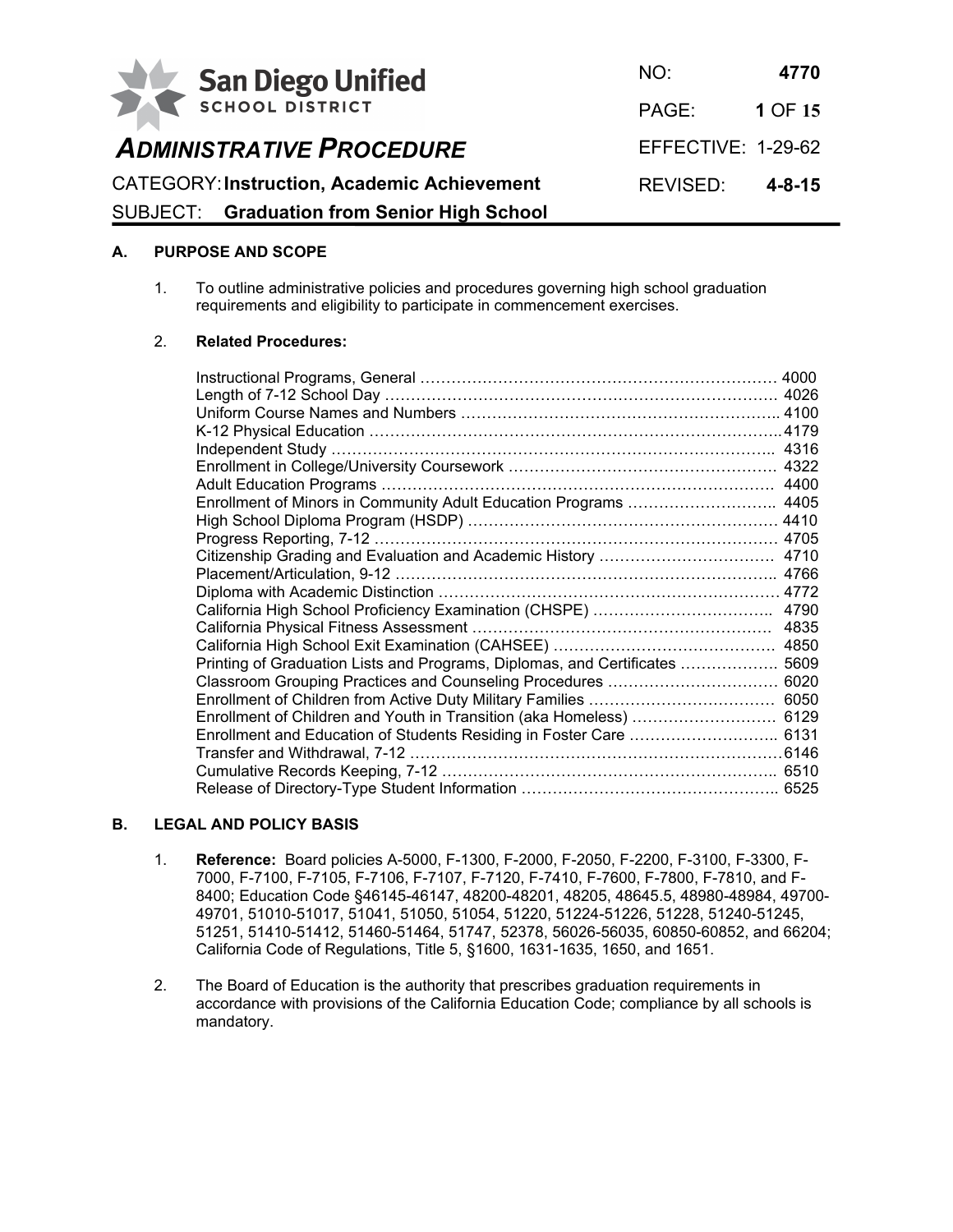

*ADMINISTRATIVE PROCEDURE*

NO: **4770** PAGE: **1** OF **15** EFFECTIVE: 1-29-62

# CATEGORY:**Instruction, Academic Achievement** REVISED: **4-8-15**

SUBJECT: **Graduation from Senior High School**

# **A. PURPOSE AND SCOPE**

1. To outline administrative policies and procedures governing high school graduation requirements and eligibility to participate in commencement exercises.

# 2. **Related Procedures:**

| Enrollment of Minors in Community Adult Education Programs  4405            |  |
|-----------------------------------------------------------------------------|--|
|                                                                             |  |
|                                                                             |  |
|                                                                             |  |
|                                                                             |  |
|                                                                             |  |
|                                                                             |  |
|                                                                             |  |
|                                                                             |  |
| Printing of Graduation Lists and Programs, Diplomas, and Certificates  5609 |  |
|                                                                             |  |
|                                                                             |  |
| Enrollment of Children and Youth in Transition (aka Homeless)  6129         |  |
|                                                                             |  |
|                                                                             |  |
|                                                                             |  |
|                                                                             |  |

# **B. LEGAL AND POLICY BASIS**

- 1. **Reference:** Board policies A-5000, F-1300, F-2000, F-2050, F-2200, F-3100, F-3300, F-7000, F-7100, F-7105, F-7106, F-7107, F-7120, F-7410, F-7600, F-7800, F-7810, and F-8400; Education Code §46145-46147, 48200-48201, 48205, 48645.5, 48980-48984, 49700- 49701, 51010-51017, 51041, 51050, 51054, 51220, 51224-51226, 51228, 51240-51245, 51251, 51410-51412, 51460-51464, 51747, 52378, 56026-56035, 60850-60852, and 66204; California Code of Regulations, Title 5, §1600, 1631-1635, 1650, and 1651.
- 2. The Board of Education is the authority that prescribes graduation requirements in accordance with provisions of the California Education Code; compliance by all schools is mandatory.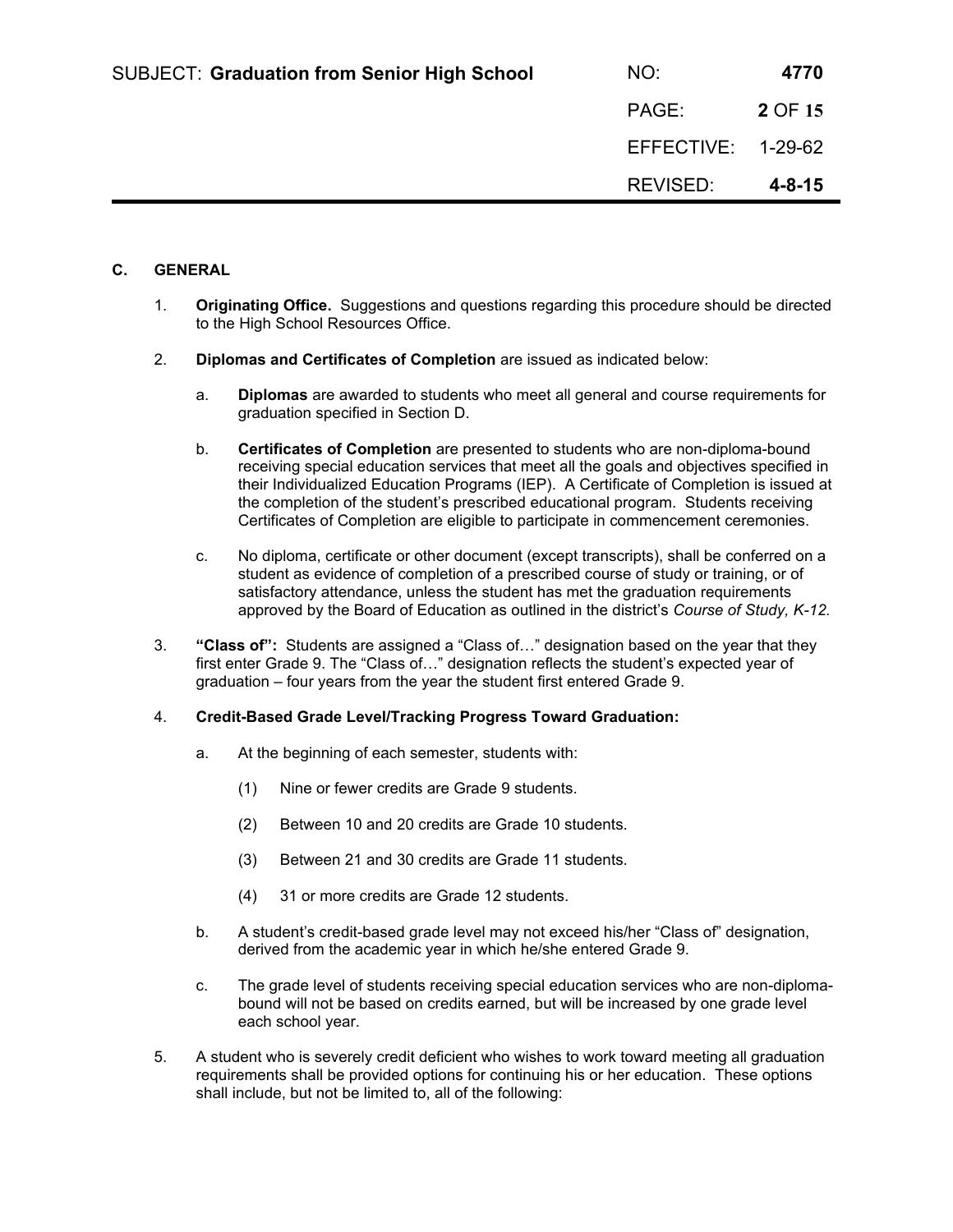| <b>SUBJECT: Graduation from Senior High School</b> | NO:                | 4770         |
|----------------------------------------------------|--------------------|--------------|
|                                                    | PAGE:              | 2 OF 15      |
|                                                    | EFFECTIVE: 1-29-62 |              |
|                                                    | REVISED:           | $4 - 8 - 15$ |

# **C. GENERAL**

- 1. **Originating Office.** Suggestions and questions regarding this procedure should be directed to the High School Resources Office.
- 2. **Diplomas and Certificates of Completion** are issued as indicated below:
	- a. **Diplomas** are awarded to students who meet all general and course requirements for graduation specified in Section D.
	- b. **Certificates of Completion** are presented to students who are non-diploma-bound receiving special education services that meet all the goals and objectives specified in their Individualized Education Programs (IEP). A Certificate of Completion is issued at the completion of the student's prescribed educational program. Students receiving Certificates of Completion are eligible to participate in commencement ceremonies.
	- c. No diploma, certificate or other document (except transcripts), shall be conferred on a student as evidence of completion of a prescribed course of study or training, or of satisfactory attendance, unless the student has met the graduation requirements approved by the Board of Education as outlined in the district's *Course of Study, K-12.*
- 3. **"Class of":** Students are assigned a "Class of…" designation based on the year that they first enter Grade 9. The "Class of…" designation reflects the student's expected year of graduation – four years from the year the student first entered Grade 9.

#### 4. **Credit-Based Grade Level/Tracking Progress Toward Graduation:**

- a. At the beginning of each semester, students with:
	- (1) Nine or fewer credits are Grade 9 students.
	- (2) Between 10 and 20 credits are Grade 10 students.
	- (3) Between 21 and 30 credits are Grade 11 students.
	- (4) 31 or more credits are Grade 12 students.
- b. A student's credit-based grade level may not exceed his/her "Class of" designation, derived from the academic year in which he/she entered Grade 9.
- c. The grade level of students receiving special education services who are non-diplomabound will not be based on credits earned, but will be increased by one grade level each school year.
- 5. A student who is severely credit deficient who wishes to work toward meeting all graduation requirements shall be provided options for continuing his or her education. These options shall include, but not be limited to, all of the following: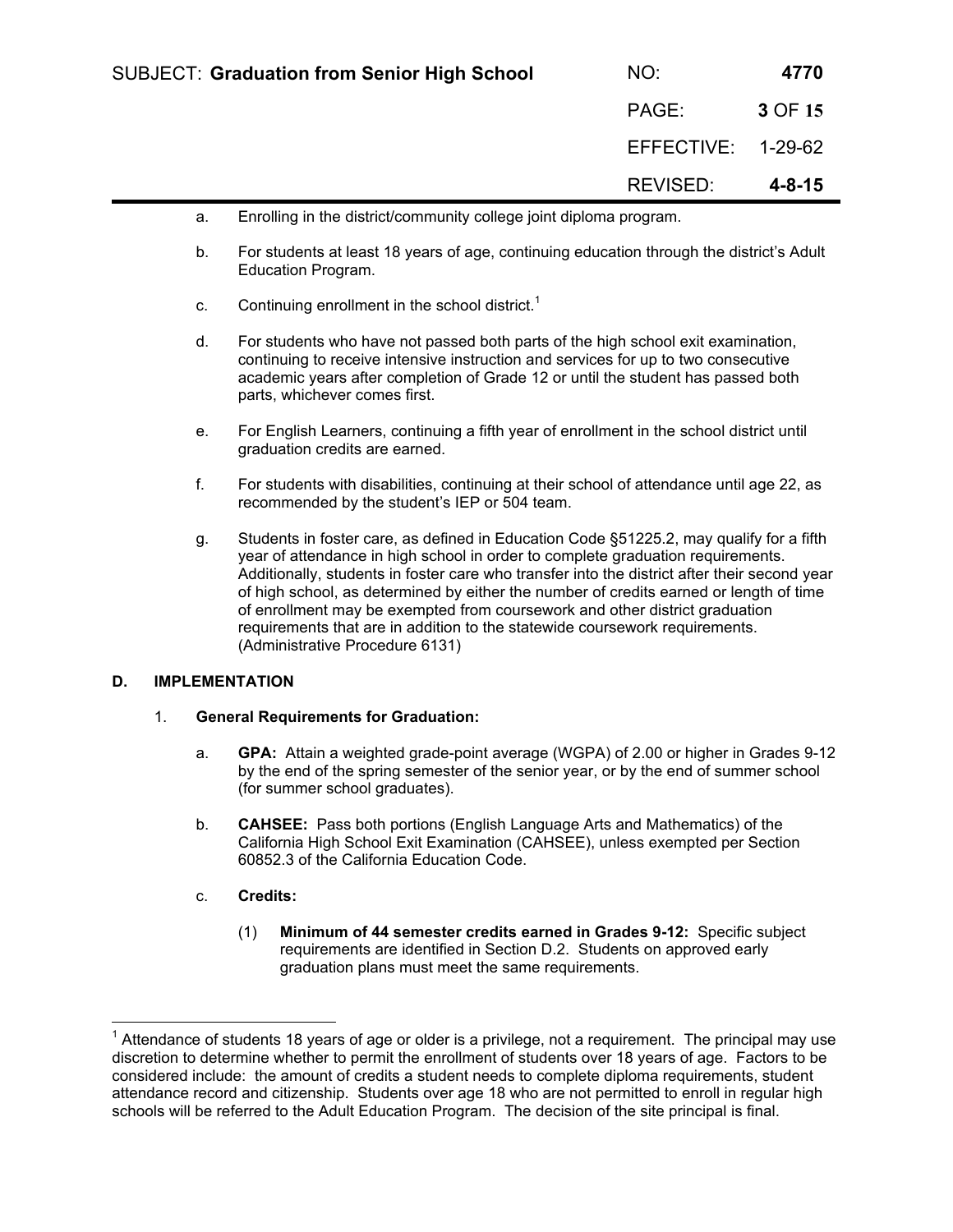| <b>SUBJECT: Graduation from Senior High School</b> | NO:                | 4770         |
|----------------------------------------------------|--------------------|--------------|
|                                                    | PAGE:              | 3 OF 15      |
|                                                    | EFFECTIVE: 1-29-62 |              |
|                                                    | REVISED:           | $4 - 8 - 15$ |

- a. Enrolling in the district/community college joint diploma program.
- b. For students at least 18 years of age, continuing education through the district's Adult Education Program.
- c. Continuing enrollment in the school district.<sup>1</sup>
- d. For students who have not passed both parts of the high school exit examination, continuing to receive intensive instruction and services for up to two consecutive academic years after completion of Grade 12 or until the student has passed both parts, whichever comes first.
- e. For English Learners, continuing a fifth year of enrollment in the school district until graduation credits are earned.
- f. For students with disabilities, continuing at their school of attendance until age 22, as recommended by the student's IEP or 504 team.
- g. Students in foster care, as defined in Education Code §51225.2, may qualify for a fifth year of attendance in high school in order to complete graduation requirements. Additionally, students in foster care who transfer into the district after their second year of high school, as determined by either the number of credits earned or length of time of enrollment may be exempted from coursework and other district graduation requirements that are in addition to the statewide coursework requirements. (Administrative Procedure 6131)

# **D. IMPLEMENTATION**

# 1. **General Requirements for Graduation:**

- a. **GPA:** Attain a weighted grade-point average (WGPA) of 2.00 or higher in Grades 9-12 by the end of the spring semester of the senior year, or by the end of summer school (for summer school graduates).
- b. **CAHSEE:** Pass both portions (English Language Arts and Mathematics) of the California High School Exit Examination (CAHSEE), unless exempted per Section 60852.3 of the California Education Code.

# c. **Credits:**

(1) **Minimum of 44 semester credits earned in Grades 9-12:** Specific subject requirements are identified in Section D.2. Students on approved early graduation plans must meet the same requirements.

1 Attendance of students 18 years of age or older is a privilege, not a requirement. The principal may use discretion to determine whether to permit the enrollment of students over 18 years of age. Factors to be considered include: the amount of credits a student needs to complete diploma requirements, student attendance record and citizenship. Students over age 18 who are not permitted to enroll in regular high schools will be referred to the Adult Education Program. The decision of the site principal is final.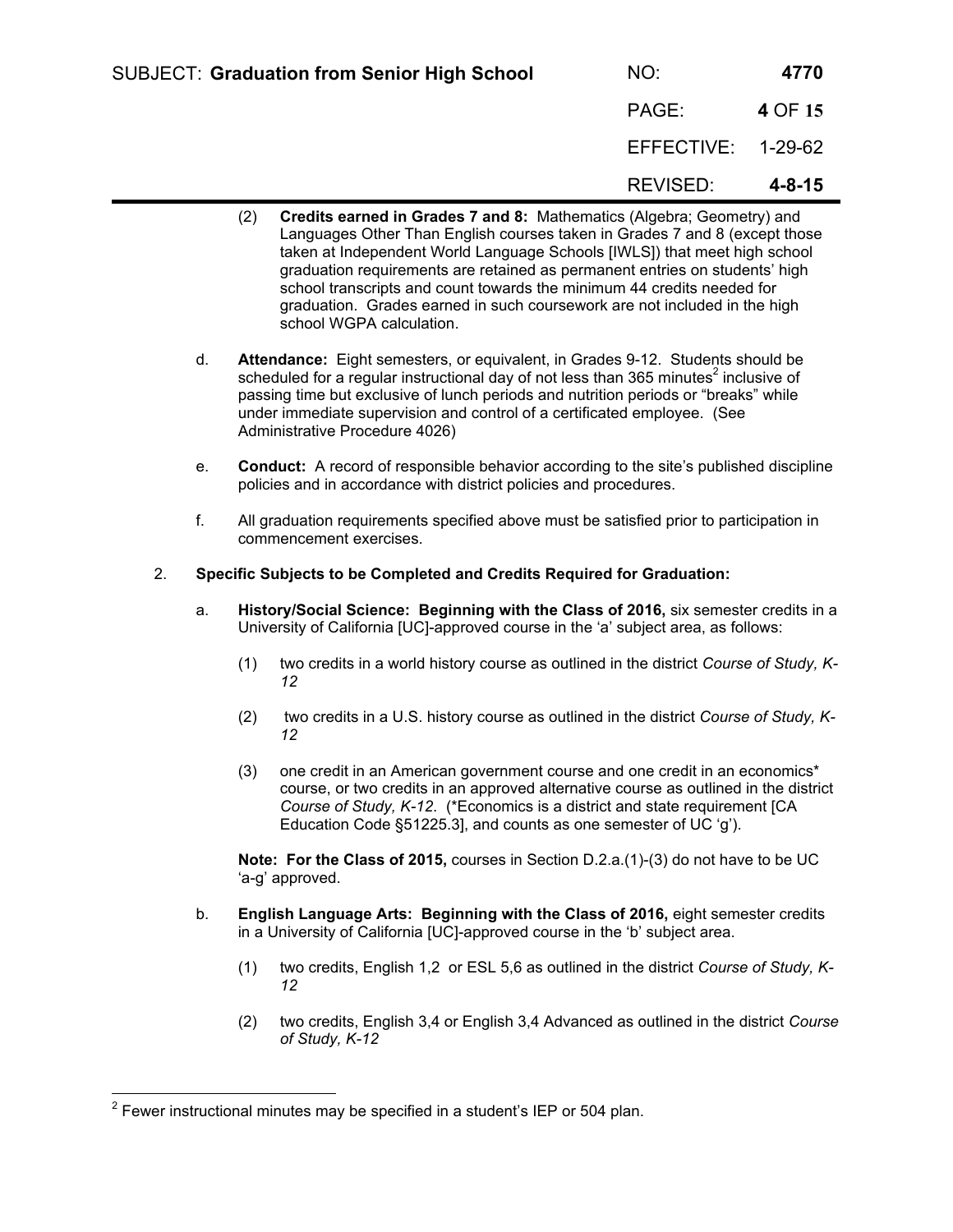| <b>SUBJECT: Graduation from Senior High School</b> | NO:                | 4770         |
|----------------------------------------------------|--------------------|--------------|
|                                                    | PAGE:              | 4 OF 15      |
|                                                    | EFFECTIVE: 1-29-62 |              |
|                                                    | REVISED:           | $4 - 8 - 15$ |

- (2) **Credits earned in Grades 7 and 8:** Mathematics (Algebra; Geometry) and Languages Other Than English courses taken in Grades 7 and 8 (except those taken at Independent World Language Schools [IWLS]) that meet high school graduation requirements are retained as permanent entries on students' high school transcripts and count towards the minimum 44 credits needed for graduation. Grades earned in such coursework are not included in the high school WGPA calculation.
- d. **Attendance:** Eight semesters, or equivalent, in Grades 9-12. Students should be scheduled for a regular instructional day of not less than 365 minutes<sup>2</sup> inclusive of passing time but exclusive of lunch periods and nutrition periods or "breaks" while under immediate supervision and control of a certificated employee. (See Administrative Procedure 4026)
- e. **Conduct:** A record of responsible behavior according to the site's published discipline policies and in accordance with district policies and procedures.
- f. All graduation requirements specified above must be satisfied prior to participation in commencement exercises.
- 2. **Specific Subjects to be Completed and Credits Required for Graduation:**
	- a. **History/Social Science: Beginning with the Class of 2016,** six semester credits in a University of California [UC]-approved course in the 'a' subject area, as follows:
		- (1) two credits in a world history course as outlined in the district *Course of Study, K-12*
		- (2) two credits in a U.S. history course as outlined in the district *Course of Study, K-12*
		- (3) one credit in an American government course and one credit in an economics\* course, or two credits in an approved alternative course as outlined in the district *Course of Study, K-12*. (\*Economics is a district and state requirement [CA Education Code §51225.3], and counts as one semester of UC 'g').

**Note: For the Class of 2015,** courses in Section D.2.a.(1)-(3) do not have to be UC 'a-g' approved.

- b. **English Language Arts: Beginning with the Class of 2016,** eight semester credits in a University of California [UC]-approved course in the 'b' subject area.
	- (1) two credits, English 1,2 or ESL 5,6 as outlined in the district *Course of Study, K-12*
	- (2) two credits, English 3,4 or English 3,4 Advanced as outlined in the district *Course of Study, K-12*

<sup>————————————————————&</sup>lt;br><sup>2</sup> Fewer instructional minutes may be specified in a student's IEP or 504 plan.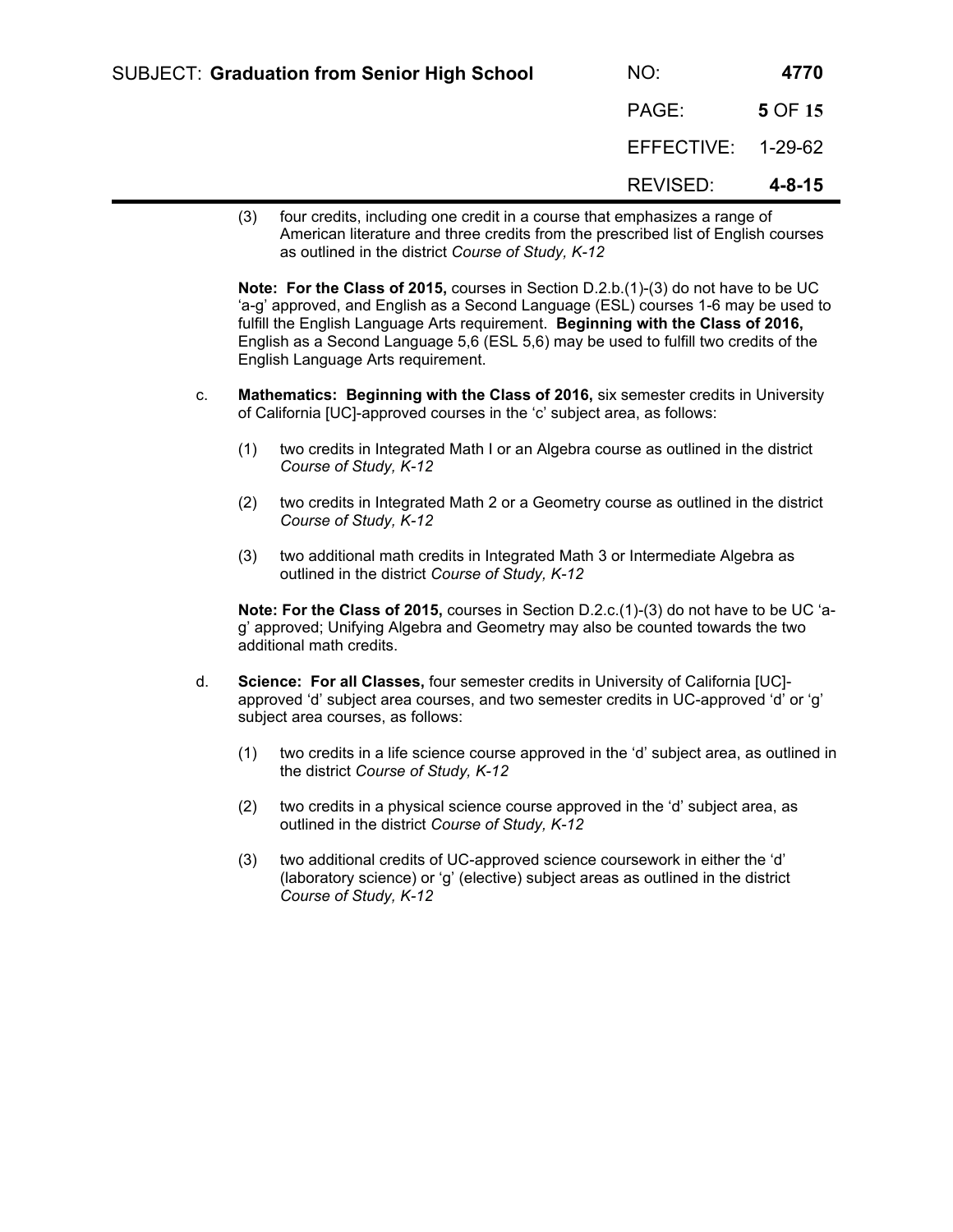| <b>SUBJECT: Graduation from Senior High School</b>                       | NO:                | 4770         |
|--------------------------------------------------------------------------|--------------------|--------------|
|                                                                          | PAGE:              | 5 OF 15      |
|                                                                          | EFFECTIVE: 1-29-62 |              |
|                                                                          | REVISED:           | $4 - 8 - 15$ |
| four cradite including and cradit in a course that emphasizes a range of |                    |              |

(3) four credits, including one credit in a course that emphasizes a range of American literature and three credits from the prescribed list of English courses as outlined in the district *Course of Study, K-12*

**Note: For the Class of 2015,** courses in Section D.2.b.(1)-(3) do not have to be UC 'a-g' approved, and English as a Second Language (ESL) courses 1-6 may be used to fulfill the English Language Arts requirement. **Beginning with the Class of 2016,** English as a Second Language 5,6 (ESL 5,6) may be used to fulfill two credits of the English Language Arts requirement.

- c. **Mathematics: Beginning with the Class of 2016,** six semester credits in University of California [UC]-approved courses in the 'c' subject area, as follows:
	- (1) two credits in Integrated Math I or an Algebra course as outlined in the district *Course of Study, K-12*
	- (2) two credits in Integrated Math 2 or a Geometry course as outlined in the district *Course of Study, K-12*
	- (3) two additional math credits in Integrated Math 3 or Intermediate Algebra as outlined in the district *Course of Study, K-12*

**Note: For the Class of 2015,** courses in Section D.2.c.(1)-(3) do not have to be UC 'ag' approved; Unifying Algebra and Geometry may also be counted towards the two additional math credits.

- d. **Science: For all Classes,** four semester credits in University of California [UC] approved 'd' subject area courses, and two semester credits in UC-approved 'd' or 'g' subject area courses, as follows:
	- (1) two credits in a life science course approved in the 'd' subject area, as outlined in the district *Course of Study, K-12*
	- (2) two credits in a physical science course approved in the 'd' subject area, as outlined in the district *Course of Study, K-12*
	- (3) two additional credits of UC-approved science coursework in either the 'd' (laboratory science) or 'g' (elective) subject areas as outlined in the district *Course of Study, K-12*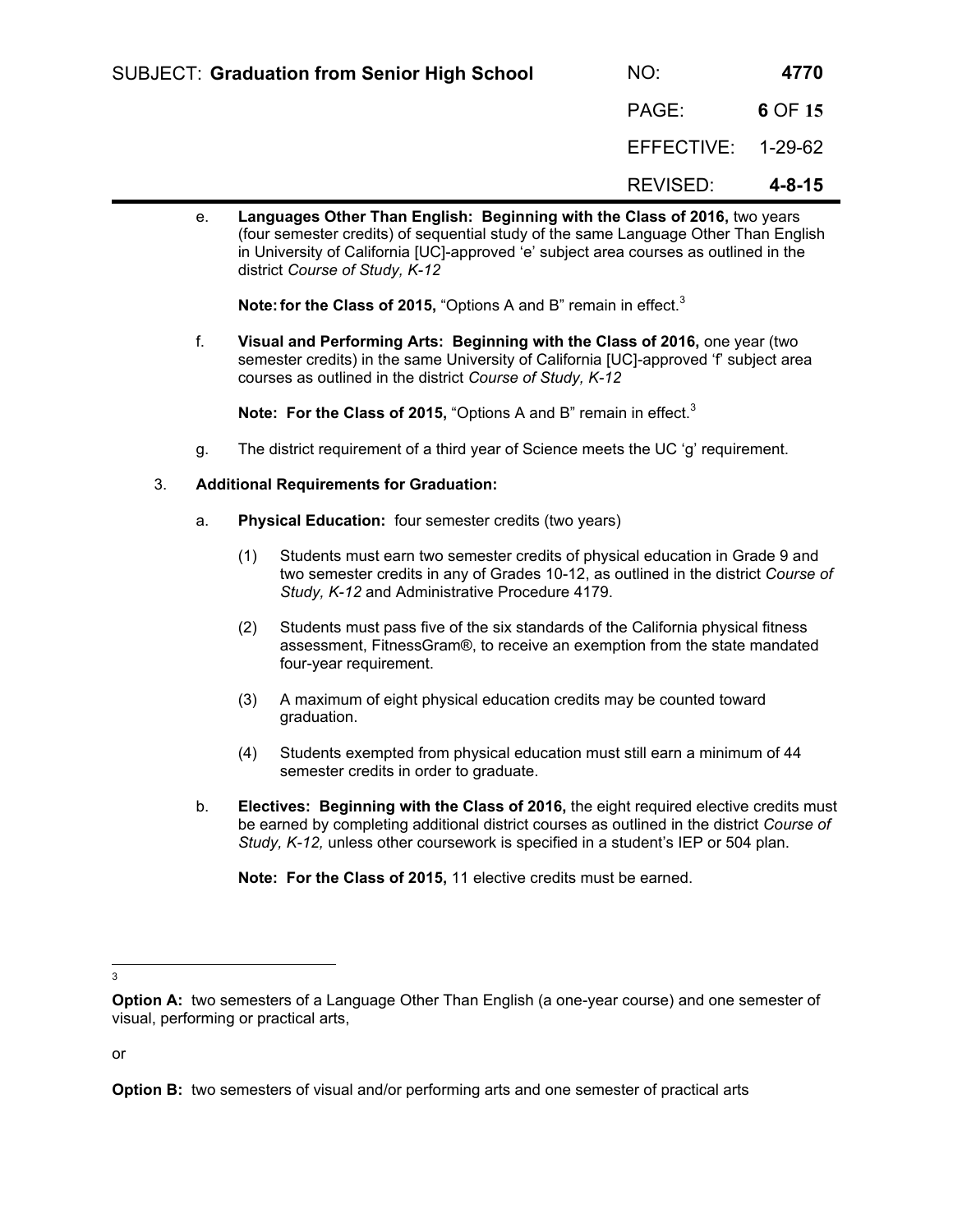| <b>SUBJECT: Graduation from Senior High School</b> | NO:                | 4770         |
|----------------------------------------------------|--------------------|--------------|
|                                                    | PAGE:              | 6 OF 15      |
|                                                    | EFFECTIVE: 1-29-62 |              |
|                                                    | REVISED:           | $4 - 8 - 15$ |

e. **Languages Other Than English: Beginning with the Class of 2016,** two years (four semester credits) of sequential study of the same Language Other Than English in University of California [UC]-approved 'e' subject area courses as outlined in the district *Course of Study, K-12*

**Note: for the Class of 2015,** "Options A and B" remain in effect.<sup>3</sup>

f. **Visual and Performing Arts: Beginning with the Class of 2016,** one year (two semester credits) in the same University of California [UC]-approved 'f' subject area courses as outlined in the district *Course of Study, K-12*

**Note: For the Class of 2015,** "Options A and B" remain in effect.<sup>3</sup>

- g. The district requirement of a third year of Science meets the UC 'g' requirement.
- 3. **Additional Requirements for Graduation:**
	- a. **Physical Education:** four semester credits (two years)
		- (1) Students must earn two semester credits of physical education in Grade 9 and two semester credits in any of Grades 10-12, as outlined in the district *Course of Study, K-12* and Administrative Procedure 4179.
		- (2) Students must pass five of the six standards of the California physical fitness assessment, FitnessGram®, to receive an exemption from the state mandated four-year requirement.
		- (3) A maximum of eight physical education credits may be counted toward graduation.
		- (4) Students exempted from physical education must still earn a minimum of 44 semester credits in order to graduate.
	- b. **Electives: Beginning with the Class of 2016,** the eight required elective credits must be earned by completing additional district courses as outlined in the district *Course of Study, K-12,* unless other coursework is specified in a student's IEP or 504 plan.

**Note: For the Class of 2015,** 11 elective credits must be earned.

3

or

**Option A:** two semesters of a Language Other Than English (a one-year course) and one semester of visual, performing or practical arts,

**Option B:** two semesters of visual and/or performing arts and one semester of practical arts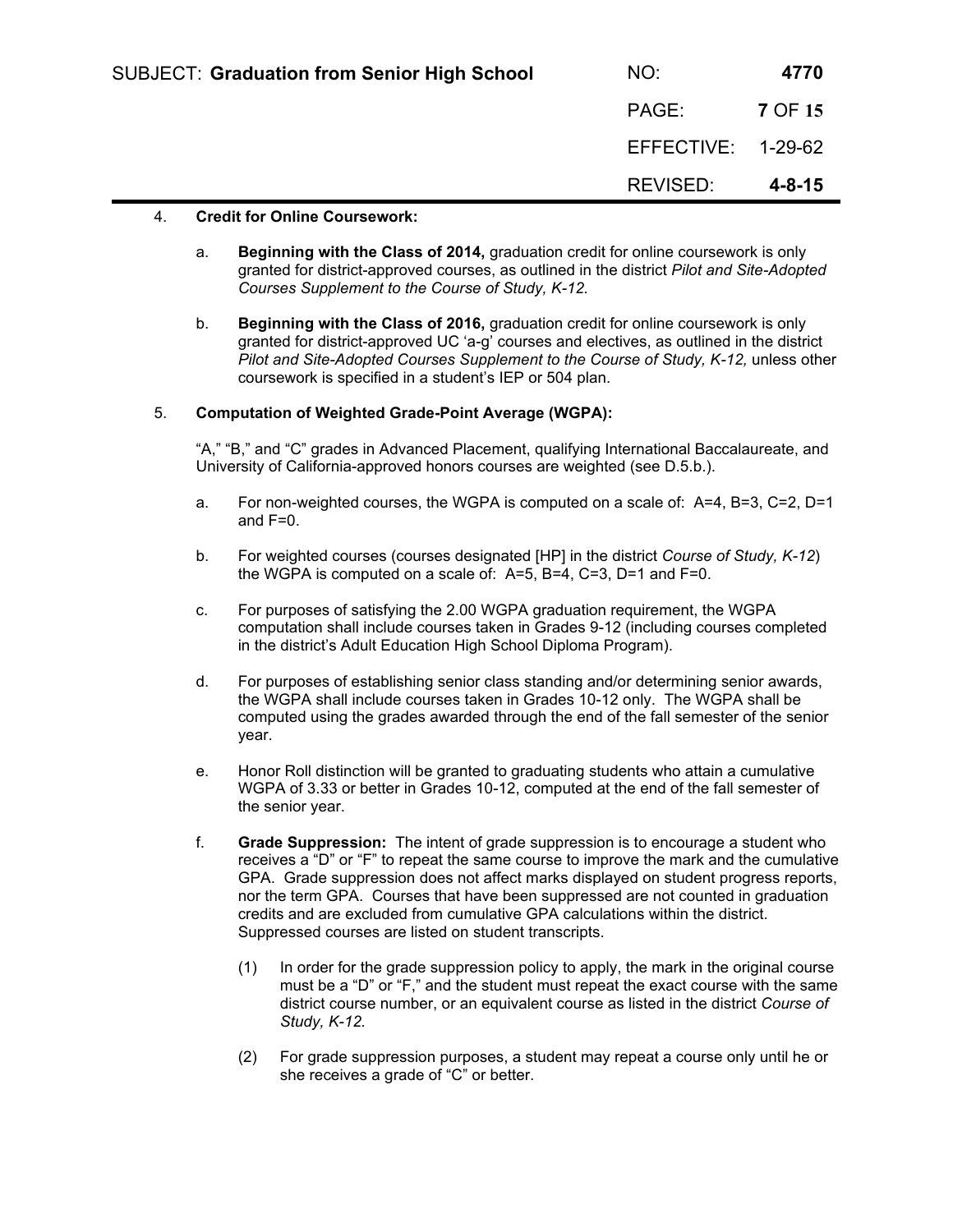| <b>SUBJECT: Graduation from Senior High School</b> | NO:                | 4770    |
|----------------------------------------------------|--------------------|---------|
|                                                    | PAGE:              | 7 OF 15 |
|                                                    | EFFECTIVE: 1-29-62 |         |
|                                                    | REVISED:           | 4-8-15  |

## 4. **Credit for Online Coursework:**

- a. **Beginning with the Class of 2014,** graduation credit for online coursework is only granted for district-approved courses, as outlined in the district *Pilot and Site-Adopted Courses Supplement to the Course of Study, K-12.*
- b. **Beginning with the Class of 2016,** graduation credit for online coursework is only granted for district-approved UC 'a-g' courses and electives, as outlined in the district *Pilot and Site-Adopted Courses Supplement to the Course of Study, K-12,* unless other coursework is specified in a student's IEP or 504 plan.

# 5. **Computation of Weighted Grade-Point Average (WGPA):**

"A," "B," and "C" grades in Advanced Placement, qualifying International Baccalaureate, and University of California-approved honors courses are weighted (see D.5.b.).

- a. For non-weighted courses, the WGPA is computed on a scale of: A=4, B=3, C=2, D=1 and F=0.
- b. For weighted courses (courses designated [HP] in the district *Course of Study, K-12*) the WGPA is computed on a scale of: A=5, B=4, C=3, D=1 and F=0.
- c. For purposes of satisfying the 2.00 WGPA graduation requirement, the WGPA computation shall include courses taken in Grades 9-12 (including courses completed in the district's Adult Education High School Diploma Program).
- d. For purposes of establishing senior class standing and/or determining senior awards, the WGPA shall include courses taken in Grades 10-12 only. The WGPA shall be computed using the grades awarded through the end of the fall semester of the senior year.
- e. Honor Roll distinction will be granted to graduating students who attain a cumulative WGPA of 3.33 or better in Grades 10-12, computed at the end of the fall semester of the senior year.
- f. **Grade Suppression:** The intent of grade suppression is to encourage a student who receives a "D" or "F" to repeat the same course to improve the mark and the cumulative GPA. Grade suppression does not affect marks displayed on student progress reports, nor the term GPA. Courses that have been suppressed are not counted in graduation credits and are excluded from cumulative GPA calculations within the district. Suppressed courses are listed on student transcripts.
	- (1) In order for the grade suppression policy to apply, the mark in the original course must be a "D" or "F," and the student must repeat the exact course with the same district course number, or an equivalent course as listed in the district *Course of Study, K-12.*
	- (2) For grade suppression purposes, a student may repeat a course only until he or she receives a grade of "C" or better.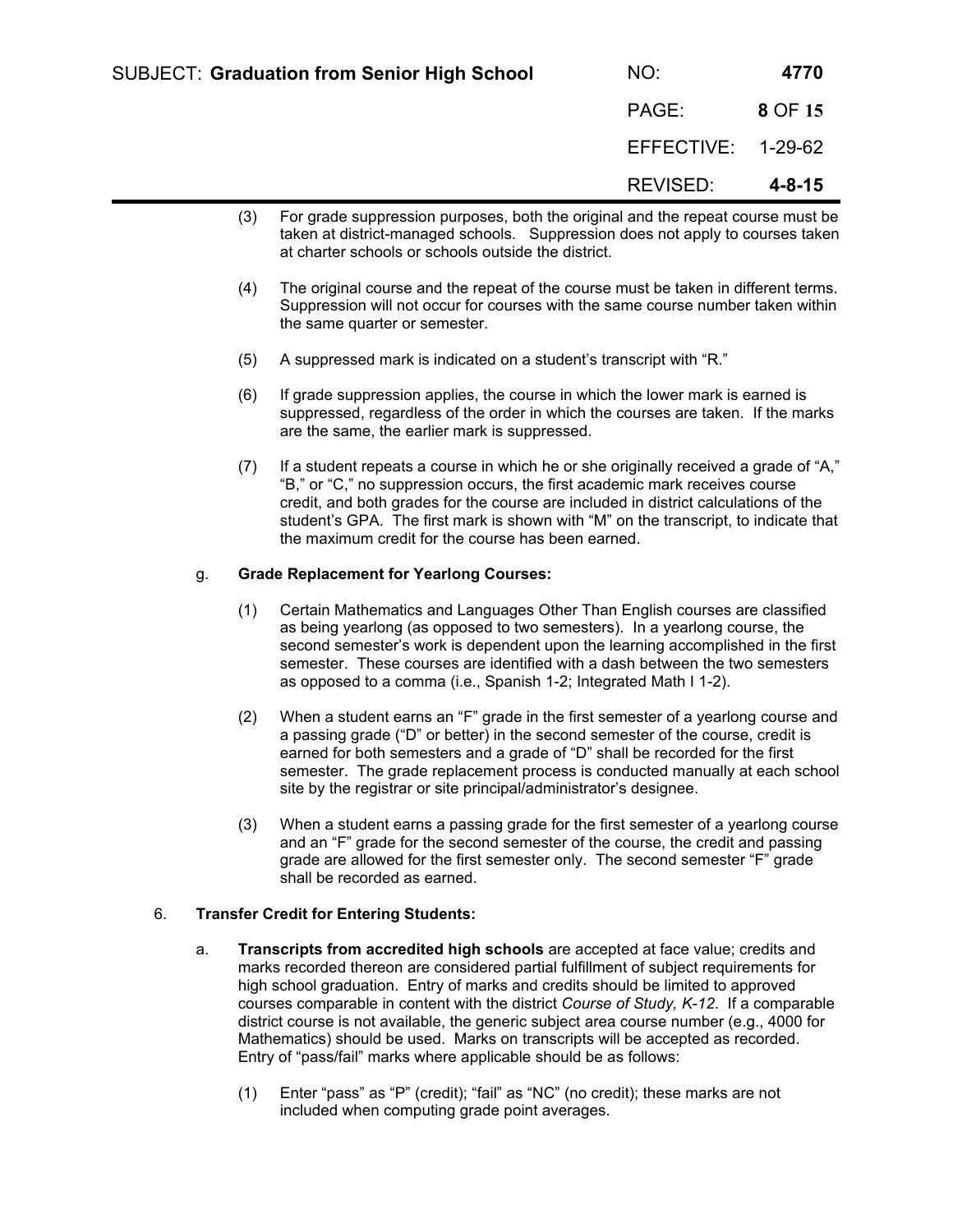- (3) For grade suppression purposes, both the original and the repeat course must be taken at district-managed schools. Suppression does not apply to courses taken at charter schools or schools outside the district.
- (4) The original course and the repeat of the course must be taken in different terms. Suppression will not occur for courses with the same course number taken within the same quarter or semester.
- (5) A suppressed mark is indicated on a student's transcript with "R."
- (6) If grade suppression applies, the course in which the lower mark is earned is suppressed, regardless of the order in which the courses are taken. If the marks are the same, the earlier mark is suppressed.
- (7) If a student repeats a course in which he or she originally received a grade of "A," "B," or "C," no suppression occurs, the first academic mark receives course credit, and both grades for the course are included in district calculations of the student's GPA. The first mark is shown with "M" on the transcript, to indicate that the maximum credit for the course has been earned.

# g. **Grade Replacement for Yearlong Courses:**

- (1) Certain Mathematics and Languages Other Than English courses are classified as being yearlong (as opposed to two semesters). In a yearlong course, the second semester's work is dependent upon the learning accomplished in the first semester. These courses are identified with a dash between the two semesters as opposed to a comma (i.e., Spanish 1-2; Integrated Math I 1-2).
- (2) When a student earns an "F" grade in the first semester of a yearlong course and a passing grade ("D" or better) in the second semester of the course, credit is earned for both semesters and a grade of "D" shall be recorded for the first semester. The grade replacement process is conducted manually at each school site by the registrar or site principal/administrator's designee.
- (3) When a student earns a passing grade for the first semester of a yearlong course and an "F" grade for the second semester of the course, the credit and passing grade are allowed for the first semester only. The second semester "F" grade shall be recorded as earned.

# 6. **Transfer Credit for Entering Students:**

- a. **Transcripts from accredited high schools** are accepted at face value; credits and marks recorded thereon are considered partial fulfillment of subject requirements for high school graduation. Entry of marks and credits should be limited to approved courses comparable in content with the district *Course of Study, K-12*. If a comparable district course is not available, the generic subject area course number (e.g., 4000 for Mathematics) should be used. Marks on transcripts will be accepted as recorded. Entry of "pass/fail" marks where applicable should be as follows:
	- (1) Enter "pass" as "P" (credit); "fail" as "NC" (no credit); these marks are not included when computing grade point averages.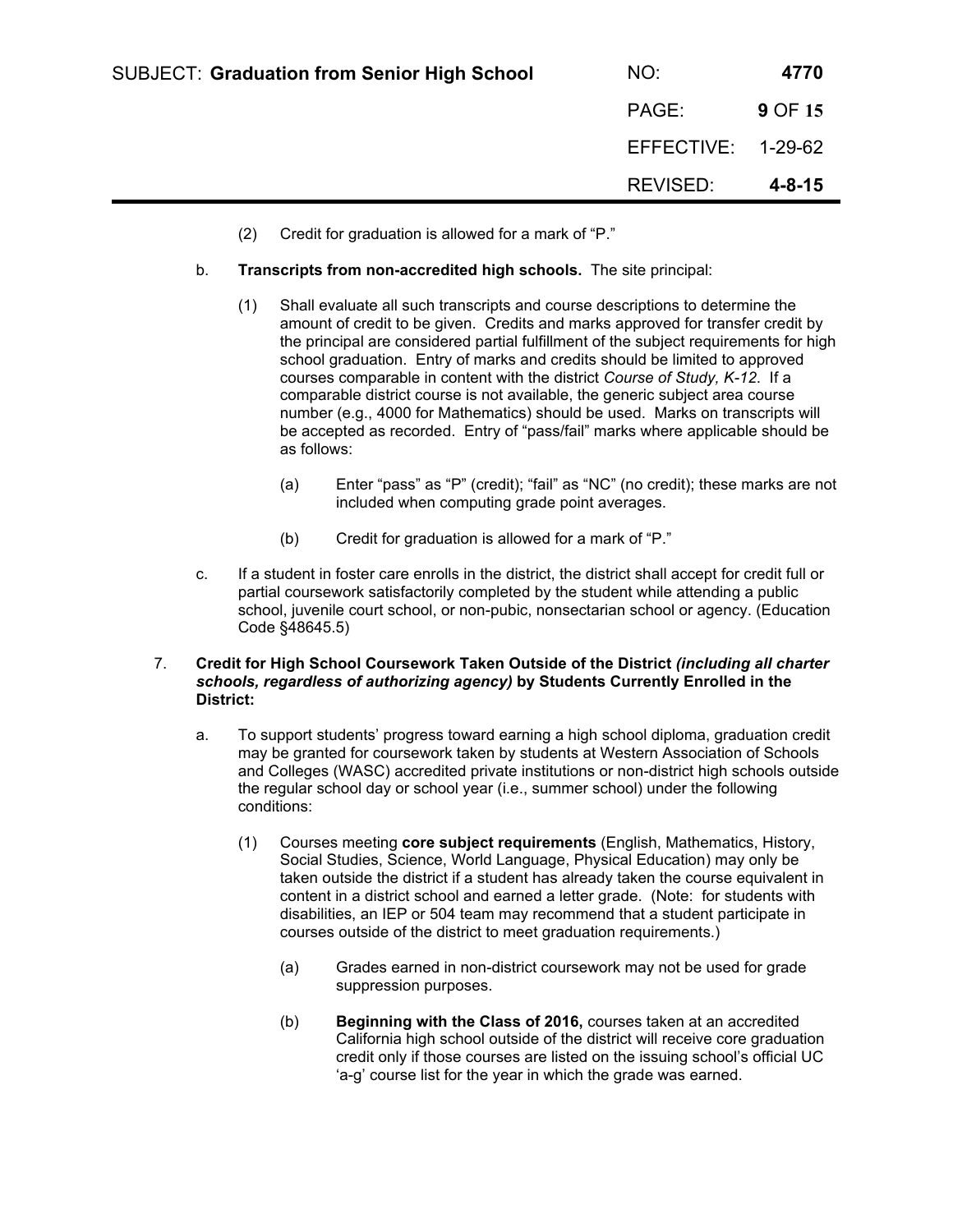| <b>SUBJECT: Graduation from Senior High School</b> | NO:                | 4770    |
|----------------------------------------------------|--------------------|---------|
|                                                    | PAGE:              | 9 OF 15 |
|                                                    | EFFECTIVE: 1-29-62 |         |
|                                                    | REVISED:           | 4-8-15  |

- (2) Credit for graduation is allowed for a mark of "P."
- b. **Transcripts from non-accredited high schools.** The site principal:
	- (1) Shall evaluate all such transcripts and course descriptions to determine the amount of credit to be given. Credits and marks approved for transfer credit by the principal are considered partial fulfillment of the subject requirements for high school graduation. Entry of marks and credits should be limited to approved courses comparable in content with the district *Course of Study, K-12*. If a comparable district course is not available, the generic subject area course number (e.g., 4000 for Mathematics) should be used. Marks on transcripts will be accepted as recorded. Entry of "pass/fail" marks where applicable should be as follows:
		- (a) Enter "pass" as "P" (credit); "fail" as "NC" (no credit); these marks are not included when computing grade point averages.
		- (b) Credit for graduation is allowed for a mark of "P."
- c. If a student in foster care enrolls in the district, the district shall accept for credit full or partial coursework satisfactorily completed by the student while attending a public school, juvenile court school, or non-pubic, nonsectarian school or agency. (Education Code §48645.5)

# 7. **Credit for High School Coursework Taken Outside of the District** *(including all charter schools, regardless of authorizing agency)* **by Students Currently Enrolled in the District:**

- a. To support students' progress toward earning a high school diploma, graduation credit may be granted for coursework taken by students at Western Association of Schools and Colleges (WASC) accredited private institutions or non-district high schools outside the regular school day or school year (i.e., summer school) under the following conditions:
	- (1) Courses meeting **core subject requirements** (English, Mathematics, History, Social Studies, Science, World Language, Physical Education) may only be taken outside the district if a student has already taken the course equivalent in content in a district school and earned a letter grade. (Note: for students with disabilities, an IEP or 504 team may recommend that a student participate in courses outside of the district to meet graduation requirements.)
		- (a) Grades earned in non-district coursework may not be used for grade suppression purposes.
		- (b) **Beginning with the Class of 2016,** courses taken at an accredited California high school outside of the district will receive core graduation credit only if those courses are listed on the issuing school's official UC 'a-g' course list for the year in which the grade was earned.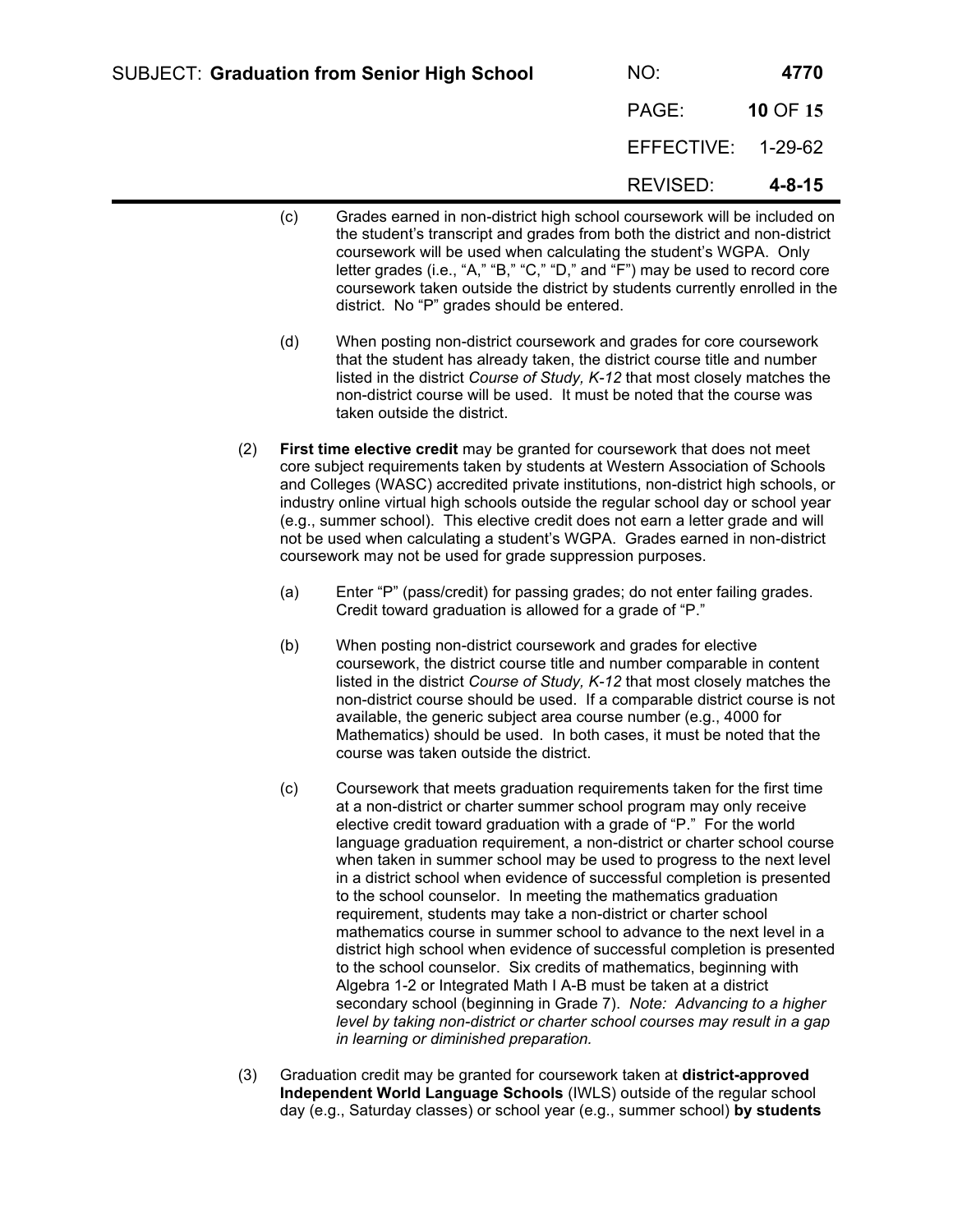| <b>SUBJECT: Graduation from Senior High School</b> | NO:   | 4770     |
|----------------------------------------------------|-------|----------|
|                                                    | PAGE: | 10 OF 15 |

| NO.        | 4770         |
|------------|--------------|
| PAGE:      | 10 OF 15     |
| EFFECTIVE: | 1-29-62      |
| REVISED:   | $4 - 8 - 15$ |

- (c) Grades earned in non-district high school coursework will be included on the student's transcript and grades from both the district and non-district coursework will be used when calculating the student's WGPA. Only letter grades (i.e., "A," "B," "C," "D," and "F") may be used to record core coursework taken outside the district by students currently enrolled in the district. No "P" grades should be entered.
- (d) When posting non-district coursework and grades for core coursework that the student has already taken, the district course title and number listed in the district *Course of Study, K-12* that most closely matches the non-district course will be used. It must be noted that the course was taken outside the district.
- (2) **First time elective credit** may be granted for coursework that does not meet core subject requirements taken by students at Western Association of Schools and Colleges (WASC) accredited private institutions, non-district high schools, or industry online virtual high schools outside the regular school day or school year (e.g., summer school). This elective credit does not earn a letter grade and will not be used when calculating a student's WGPA. Grades earned in non-district coursework may not be used for grade suppression purposes.
	- (a) Enter "P" (pass/credit) for passing grades; do not enter failing grades. Credit toward graduation is allowed for a grade of "P."
	- (b) When posting non-district coursework and grades for elective coursework, the district course title and number comparable in content listed in the district *Course of Study, K-12* that most closely matches the non-district course should be used. If a comparable district course is not available, the generic subject area course number (e.g., 4000 for Mathematics) should be used. In both cases, it must be noted that the course was taken outside the district.
	- (c) Coursework that meets graduation requirements taken for the first time at a non-district or charter summer school program may only receive elective credit toward graduation with a grade of "P." For the world language graduation requirement, a non-district or charter school course when taken in summer school may be used to progress to the next level in a district school when evidence of successful completion is presented to the school counselor. In meeting the mathematics graduation requirement, students may take a non-district or charter school mathematics course in summer school to advance to the next level in a district high school when evidence of successful completion is presented to the school counselor. Six credits of mathematics, beginning with Algebra 1-2 or Integrated Math I A-B must be taken at a district secondary school (beginning in Grade 7). *Note: Advancing to a higher level by taking non-district or charter school courses may result in a gap in learning or diminished preparation.*
- (3) Graduation credit may be granted for coursework taken at **district-approved Independent World Language Schools** (IWLS) outside of the regular school day (e.g., Saturday classes) or school year (e.g., summer school) **by students**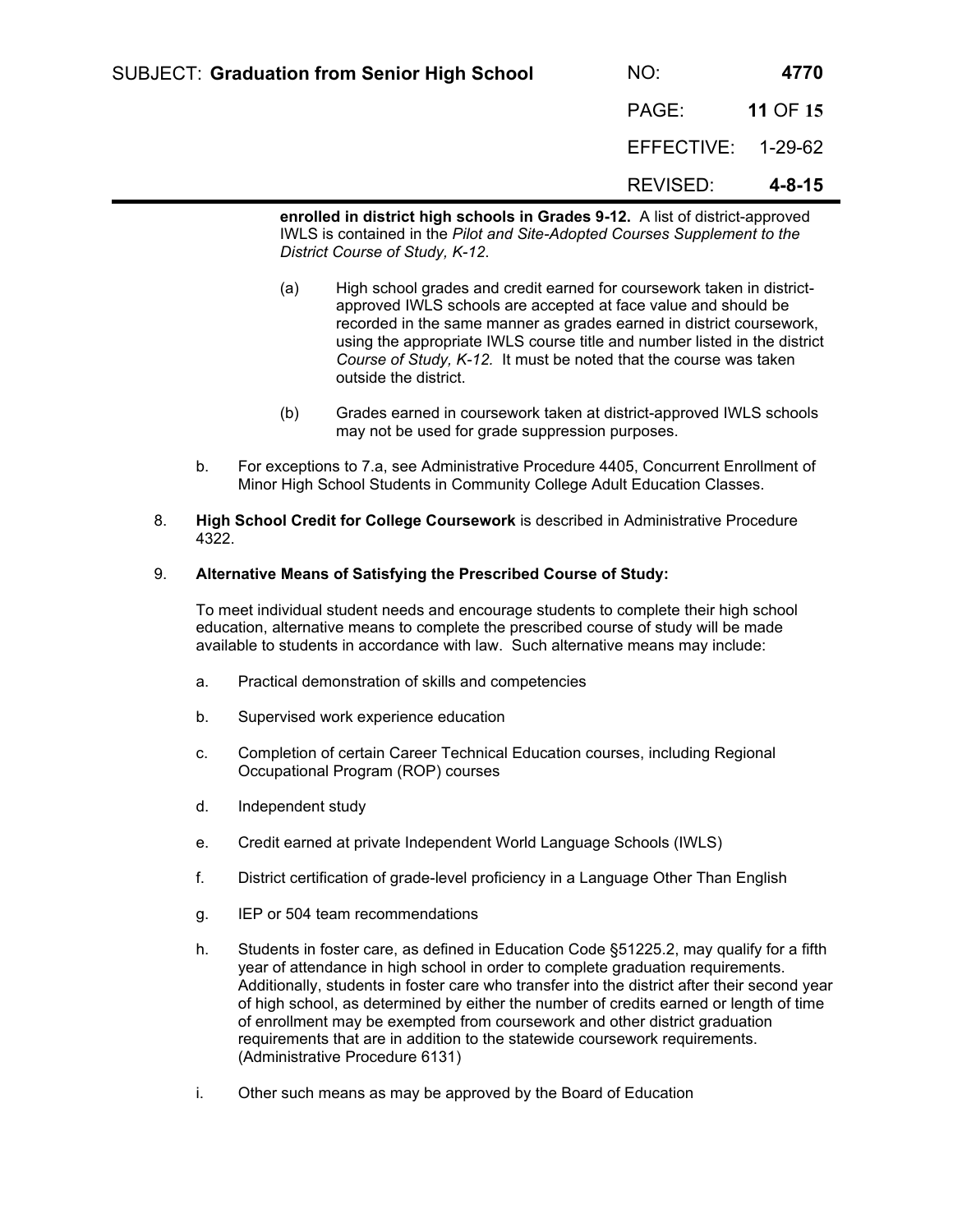| <b>SUBJECT: Graduation from Senior High School</b>                            | NO:                | 4770         |
|-------------------------------------------------------------------------------|--------------------|--------------|
|                                                                               | PAGE:              | 11 OF 15     |
|                                                                               | EFFECTIVE: 1-29-62 |              |
|                                                                               | REVISED:           | $4 - 8 - 15$ |
| enrolled in district high schools in Grades 9-12. A list of district-approved |                    |              |

**enrolled in district high schools in Grades 9-12.** A list of district-approved IWLS is contained in the *Pilot and Site-Adopted Courses Supplement to the District Course of Study, K-12*.

- (a) High school grades and credit earned for coursework taken in districtapproved IWLS schools are accepted at face value and should be recorded in the same manner as grades earned in district coursework, using the appropriate IWLS course title and number listed in the district *Course of Study, K-12.* It must be noted that the course was taken outside the district.
- (b) Grades earned in coursework taken at district-approved IWLS schools may not be used for grade suppression purposes.
- b. For exceptions to 7.a, see Administrative Procedure 4405, Concurrent Enrollment of Minor High School Students in Community College Adult Education Classes.
- 8. **High School Credit for College Coursework** is described in Administrative Procedure 4322.

#### 9. **Alternative Means of Satisfying the Prescribed Course of Study:**

To meet individual student needs and encourage students to complete their high school education, alternative means to complete the prescribed course of study will be made available to students in accordance with law. Such alternative means may include:

- a. Practical demonstration of skills and competencies
- b. Supervised work experience education
- c. Completion of certain Career Technical Education courses, including Regional Occupational Program (ROP) courses
- d. Independent study
- e. Credit earned at private Independent World Language Schools (IWLS)
- f. District certification of grade-level proficiency in a Language Other Than English
- g. IEP or 504 team recommendations
- h. Students in foster care, as defined in Education Code §51225.2, may qualify for a fifth year of attendance in high school in order to complete graduation requirements. Additionally, students in foster care who transfer into the district after their second year of high school, as determined by either the number of credits earned or length of time of enrollment may be exempted from coursework and other district graduation requirements that are in addition to the statewide coursework requirements. (Administrative Procedure 6131)
- i. Other such means as may be approved by the Board of Education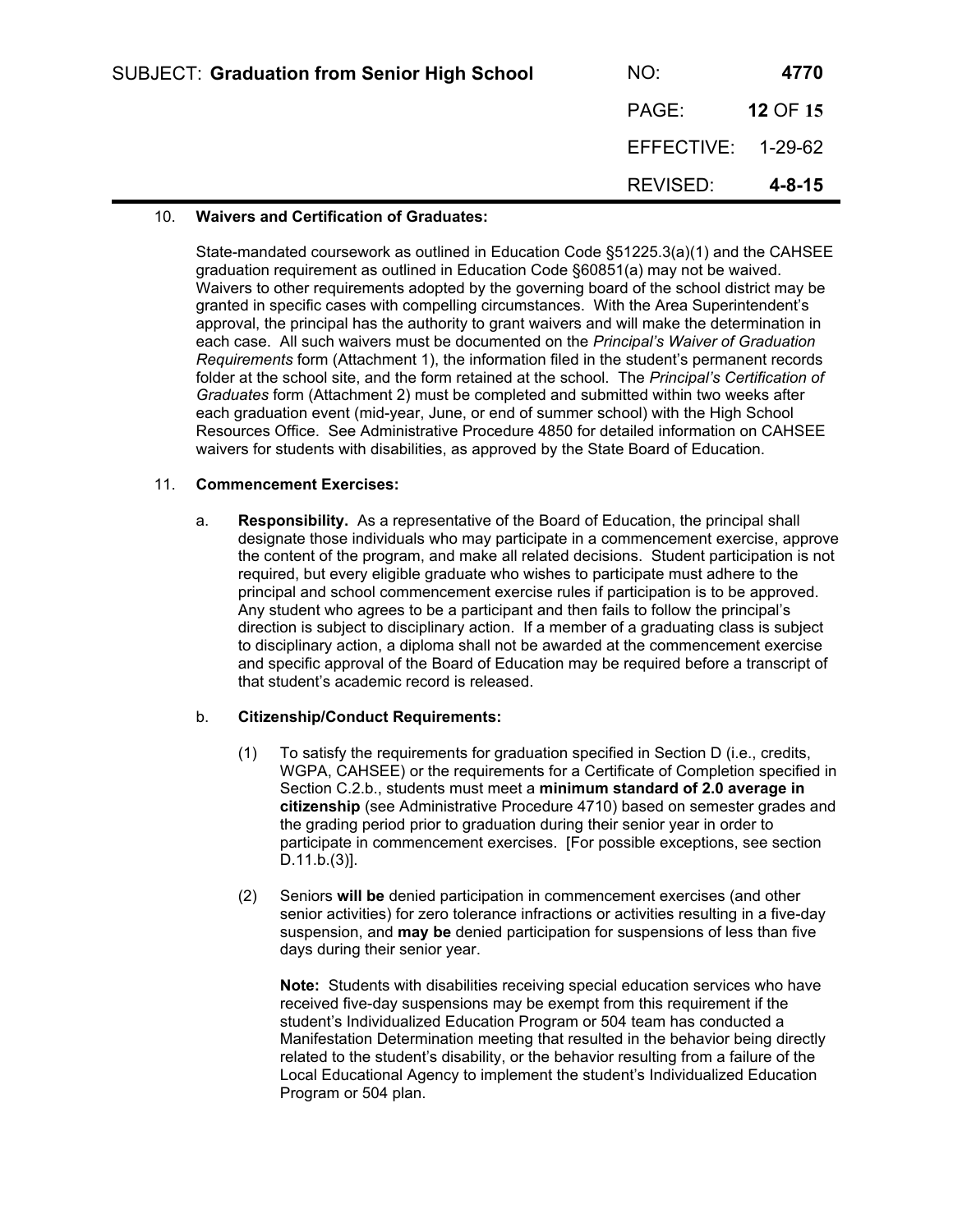| <b>SUBJECT: Graduation from Senior High School</b> | NO:                | 4770         |
|----------------------------------------------------|--------------------|--------------|
|                                                    | PAGE:              | 12 OF 15     |
|                                                    | EFFECTIVE: 1-29-62 |              |
|                                                    | REVISED:           | $4 - 8 - 15$ |

# 10. **Waivers and Certification of Graduates:**

State-mandated coursework as outlined in Education Code §51225.3(a)(1) and the CAHSEE graduation requirement as outlined in Education Code §60851(a) may not be waived. Waivers to other requirements adopted by the governing board of the school district may be granted in specific cases with compelling circumstances. With the Area Superintendent's approval, the principal has the authority to grant waivers and will make the determination in each case. All such waivers must be documented on the *Principal's Waiver of Graduation Requirements* form (Attachment 1), the information filed in the student's permanent records folder at the school site, and the form retained at the school. The *Principal's Certification of Graduates* form (Attachment 2) must be completed and submitted within two weeks after each graduation event (mid-year, June, or end of summer school) with the High School Resources Office. See Administrative Procedure 4850 for detailed information on CAHSEE waivers for students with disabilities, as approved by the State Board of Education.

## 11. **Commencement Exercises:**

a. **Responsibility.** As a representative of the Board of Education, the principal shall designate those individuals who may participate in a commencement exercise, approve the content of the program, and make all related decisions. Student participation is not required, but every eligible graduate who wishes to participate must adhere to the principal and school commencement exercise rules if participation is to be approved. Any student who agrees to be a participant and then fails to follow the principal's direction is subject to disciplinary action. If a member of a graduating class is subject to disciplinary action, a diploma shall not be awarded at the commencement exercise and specific approval of the Board of Education may be required before a transcript of that student's academic record is released.

## b. **Citizenship/Conduct Requirements:**

- (1) To satisfy the requirements for graduation specified in Section D (i.e., credits, WGPA, CAHSEE) or the requirements for a Certificate of Completion specified in Section C.2.b., students must meet a **minimum standard of 2.0 average in citizenship** (see Administrative Procedure 4710) based on semester grades and the grading period prior to graduation during their senior year in order to participate in commencement exercises. [For possible exceptions, see section D.11.b.(3)].
- (2) Seniors **will be** denied participation in commencement exercises (and other senior activities) for zero tolerance infractions or activities resulting in a five-day suspension, and **may be** denied participation for suspensions of less than five days during their senior year.

**Note:** Students with disabilities receiving special education services who have received five-day suspensions may be exempt from this requirement if the student's Individualized Education Program or 504 team has conducted a Manifestation Determination meeting that resulted in the behavior being directly related to the student's disability, or the behavior resulting from a failure of the Local Educational Agency to implement the student's Individualized Education Program or 504 plan.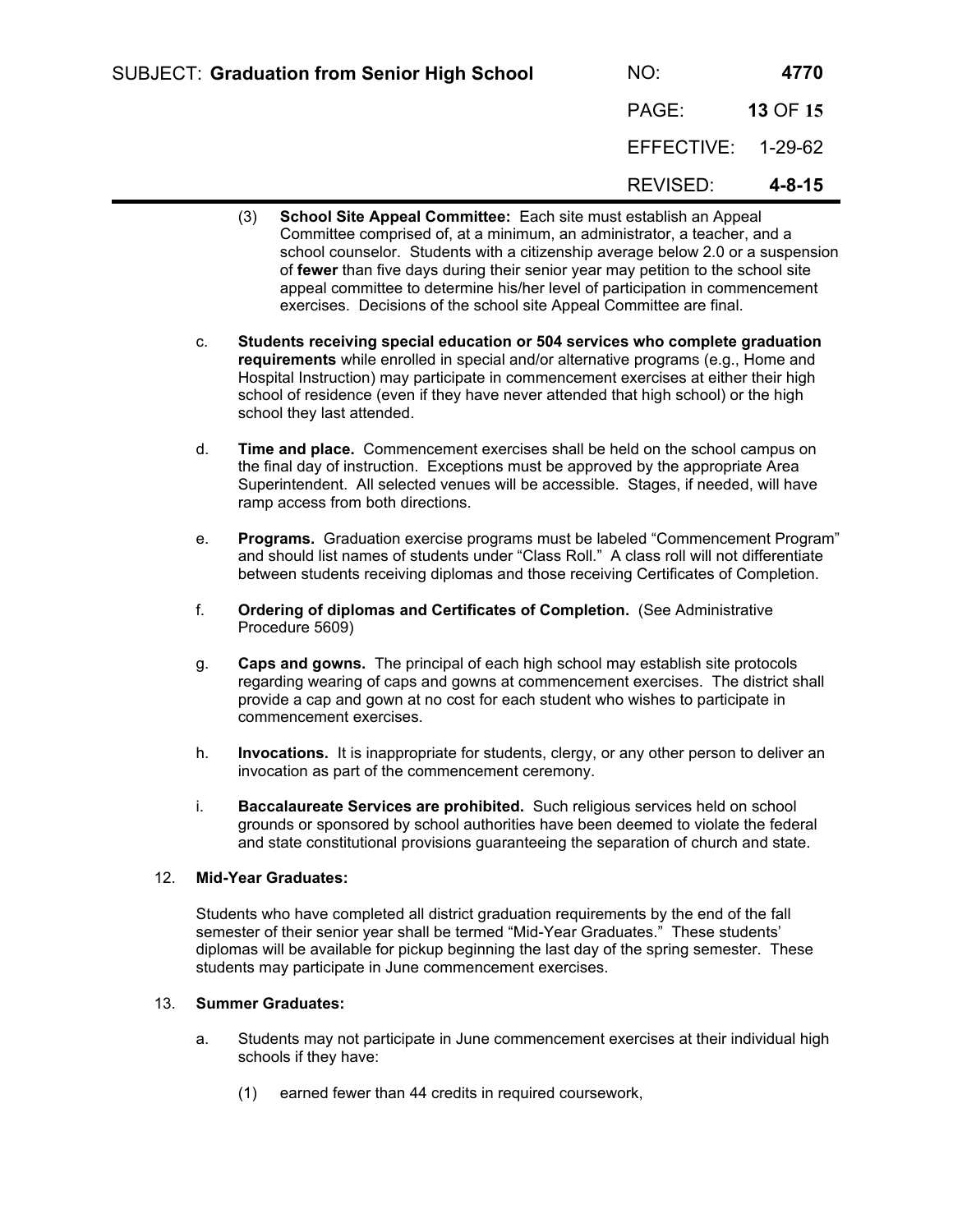| <b>SUBJECT: Graduation from Senior High School</b> | NO:                | 4770         |
|----------------------------------------------------|--------------------|--------------|
|                                                    | PAGE:              | 13 OF 15     |
|                                                    | EFFECTIVE: 1-29-62 |              |
|                                                    | REVISED:           | $4 - 8 - 15$ |

- (3) **School Site Appeal Committee:** Each site must establish an Appeal Committee comprised of, at a minimum, an administrator, a teacher, and a school counselor. Students with a citizenship average below 2.0 or a suspension of **fewer** than five days during their senior year may petition to the school site appeal committee to determine his/her level of participation in commencement exercises. Decisions of the school site Appeal Committee are final.
- c. **Students receiving special education or 504 services who complete graduation requirements** while enrolled in special and/or alternative programs (e.g., Home and Hospital Instruction) may participate in commencement exercises at either their high school of residence (even if they have never attended that high school) or the high school they last attended.
- d. **Time and place.** Commencement exercises shall be held on the school campus on the final day of instruction. Exceptions must be approved by the appropriate Area Superintendent. All selected venues will be accessible. Stages, if needed, will have ramp access from both directions.
- e. **Programs.** Graduation exercise programs must be labeled "Commencement Program" and should list names of students under "Class Roll." A class roll will not differentiate between students receiving diplomas and those receiving Certificates of Completion.
- f. **Ordering of diplomas and Certificates of Completion.** (See Administrative Procedure 5609)
- g. **Caps and gowns.** The principal of each high school may establish site protocols regarding wearing of caps and gowns at commencement exercises. The district shall provide a cap and gown at no cost for each student who wishes to participate in commencement exercises.
- h. **Invocations.** It is inappropriate for students, clergy, or any other person to deliver an invocation as part of the commencement ceremony.
- i. **Baccalaureate Services are prohibited.** Such religious services held on school grounds or sponsored by school authorities have been deemed to violate the federal and state constitutional provisions guaranteeing the separation of church and state.

#### 12. **Mid-Year Graduates:**

Students who have completed all district graduation requirements by the end of the fall semester of their senior year shall be termed "Mid-Year Graduates." These students' diplomas will be available for pickup beginning the last day of the spring semester. These students may participate in June commencement exercises.

#### 13. **Summer Graduates:**

- a. Students may not participate in June commencement exercises at their individual high schools if they have:
	- (1) earned fewer than 44 credits in required coursework,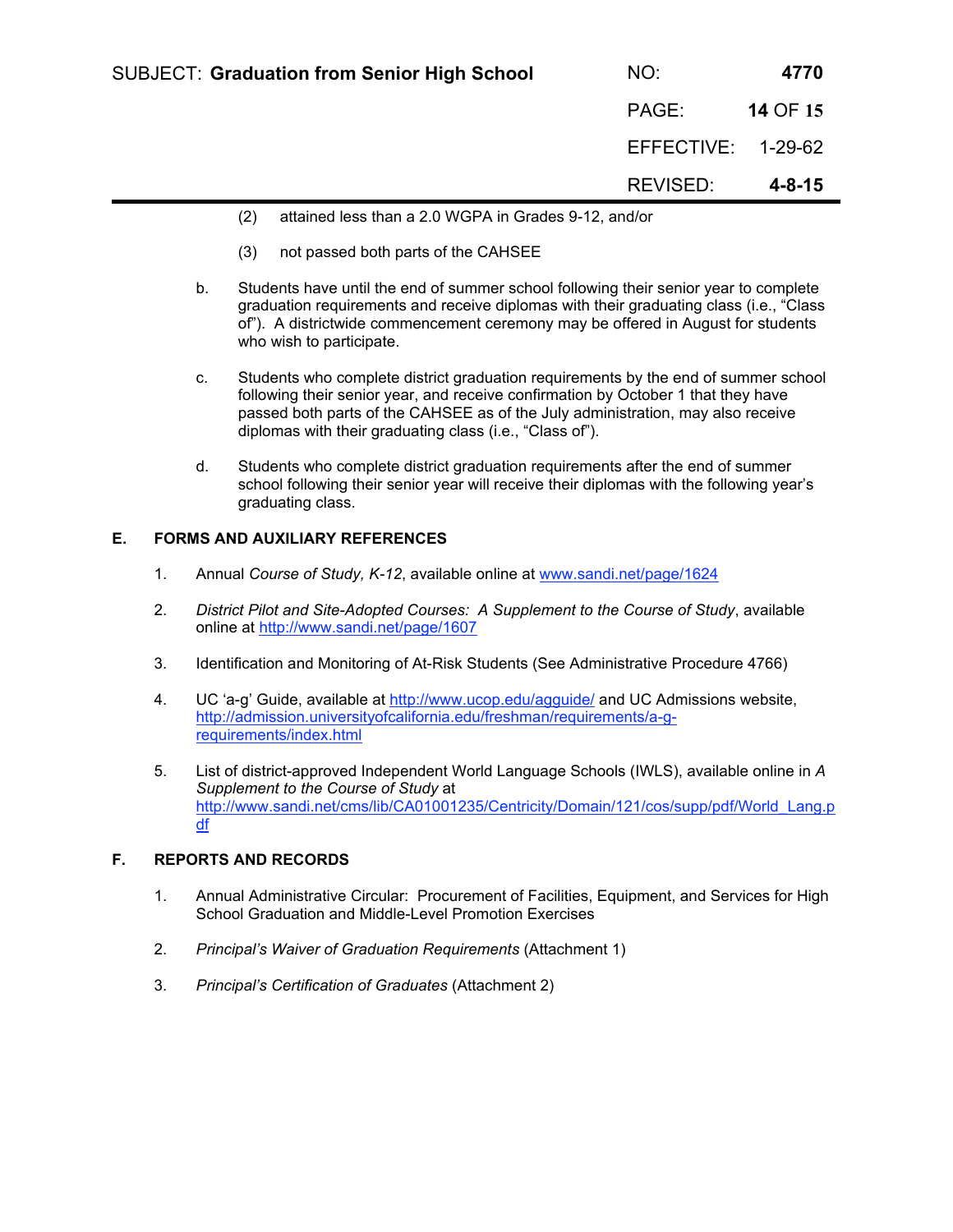| <b>SUBJECT: Graduation from Senior High School</b> | NO:                | 4770         |
|----------------------------------------------------|--------------------|--------------|
|                                                    | PAGE:              | 14 OF 15     |
|                                                    | EFFECTIVE: 1-29-62 |              |
|                                                    | REVISED:           | $4 - 8 - 15$ |

- (2) attained less than a 2.0 WGPA in Grades 9-12, and/or
- (3) not passed both parts of the CAHSEE
- b. Students have until the end of summer school following their senior year to complete graduation requirements and receive diplomas with their graduating class (i.e., "Class of"). A districtwide commencement ceremony may be offered in August for students who wish to participate.
- c. Students who complete district graduation requirements by the end of summer school following their senior year, and receive confirmation by October 1 that they have passed both parts of the CAHSEE as of the July administration, may also receive diplomas with their graduating class (i.e., "Class of").
- d. Students who complete district graduation requirements after the end of summer school following their senior year will receive their diplomas with the following year's graduating class.

# **E. FORMS AND AUXILIARY REFERENCES**

- 1. Annual *Course of Study, K-12*, available online at www.sandi.net/page/1624
- 2. *District Pilot and Site-Adopted Courses: A Supplement to the Course of Study*, available online at http://www.sandi.net/page/1607
- 3. Identification and Monitoring of At-Risk Students (See Administrative Procedure 4766)
- 4. UC 'a-g' Guide, available at http://www.ucop.edu/agguide/ and UC Admissions website, http://admission.universityofcalifornia.edu/freshman/requirements/a-grequirements/index.html
- 5. List of district-approved Independent World Language Schools (IWLS), available online in *A Supplement to the Course of Study* at http://www.sandi.net/cms/lib/CA01001235/Centricity/Domain/121/cos/supp/pdf/World\_Lang.p df

# **F. REPORTS AND RECORDS**

- 1. Annual Administrative Circular: Procurement of Facilities, Equipment, and Services for High School Graduation and Middle-Level Promotion Exercises
- 2. *Principal's Waiver of Graduation Requirements* (Attachment 1)
- 3. *Principal's Certification of Graduates* (Attachment 2)